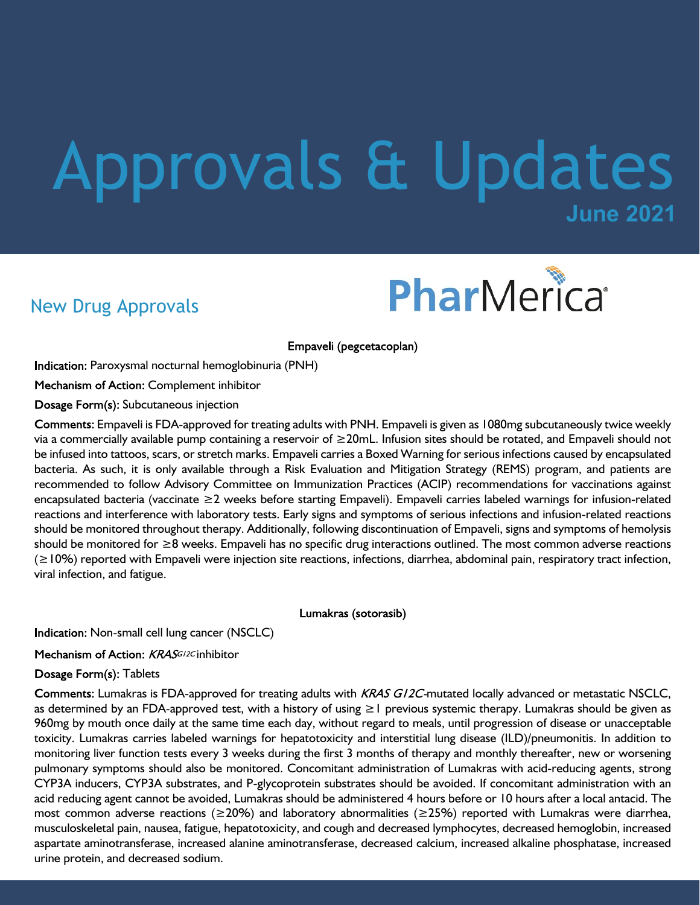# **June 2021** Approvals & Updates

## New Drug Approvals



Empaveli (pegcetacoplan)

Indication: Paroxysmal nocturnal hemoglobinuria (PNH)

Mechanism of Action: Complement inhibitor

Dosage Form(s): Subcutaneous injection

Comments: Empaveli is FDA-approved for treating adults with PNH. Empaveli is given as 1080mg subcutaneously twice weekly via a commercially available pump containing a reservoir of ≥20mL. Infusion sites should be rotated, and Empaveli should not be infused into tattoos, scars, or stretch marks. Empaveli carries a Boxed Warning for serious infections caused by encapsulated bacteria. As such, it is only available through a Risk Evaluation and Mitigation Strategy (REMS) program, and patients are recommended to follow Advisory Committee on Immunization Practices (ACIP) recommendations for vaccinations against encapsulated bacteria (vaccinate ≥2 weeks before starting Empaveli). Empaveli carries labeled warnings for infusion-related reactions and interference with laboratory tests. Early signs and symptoms of serious infections and infusion-related reactions should be monitored throughout therapy. Additionally, following discontinuation of Empaveli, signs and symptoms of hemolysis should be monitored for ≥8 weeks. Empaveli has no specific drug interactions outlined. The most common adverse reactions (≥10%) reported with Empaveli were injection site reactions, infections, diarrhea, abdominal pain, respiratory tract infection, viral infection, and fatigue.

Lumakras (sotorasib)

Indication: Non-small cell lung cancer (NSCLC)

Mechanism of Action: KRASGI2Cinhibitor

Dosage Form(s): Tablets

Comments: Lumakras is FDA-approved for treating adults with KRAS G/2C-mutated locally advanced or metastatic NSCLC, as determined by an FDA-approved test, with a history of using ≥1 previous systemic therapy. Lumakras should be given as 960mg by mouth once daily at the same time each day, without regard to meals, until progression of disease or unacceptable toxicity. Lumakras carries labeled warnings for hepatotoxicity and interstitial lung disease (ILD)/pneumonitis. In addition to monitoring liver function tests every 3 weeks during the first 3 months of therapy and monthly thereafter, new or worsening pulmonary symptoms should also be monitored. Concomitant administration of Lumakras with acid-reducing agents, strong CYP3A inducers, CYP3A substrates, and P-glycoprotein substrates should be avoided. If concomitant administration with an acid reducing agent cannot be avoided, Lumakras should be administered 4 hours before or 10 hours after a local antacid. The most common adverse reactions (≥20%) and laboratory abnormalities (≥25%) reported with Lumakras were diarrhea, musculoskeletal pain, nausea, fatigue, hepatotoxicity, and cough and decreased lymphocytes, decreased hemoglobin, increased aspartate aminotransferase, increased alanine aminotransferase, decreased calcium, increased alkaline phosphatase, increased urine protein, and decreased sodium.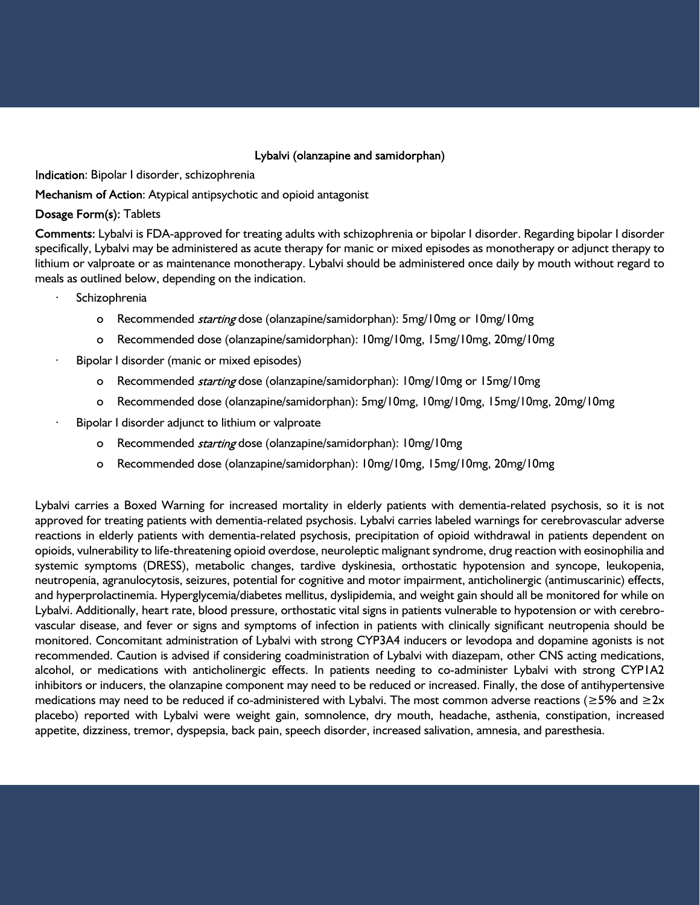#### Lybalvi (olanzapine and samidorphan)

Indication: Bipolar I disorder, schizophrenia

Mechanism of Action: Atypical antipsychotic and opioid antagonist

Dosage Form(s): Tablets

Comments: Lybalvi is FDA-approved for treating adults with schizophrenia or bipolar I disorder. Regarding bipolar I disorder specifically, Lybalvi may be administered as acute therapy for manic or mixed episodes as monotherapy or adjunct therapy to lithium or valproate or as maintenance monotherapy. Lybalvi should be administered once daily by mouth without regard to meals as outlined below, depending on the indication.

- **Schizophrenia** 
	- o Recommended *starting* dose (olanzapine/samidorphan): 5mg/10mg or 10mg/10mg
	- o Recommended dose (olanzapine/samidorphan): 10mg/10mg, 15mg/10mg, 20mg/10mg
- Bipolar I disorder (manic or mixed episodes)
	- o Recommended *starting* dose (olanzapine/samidorphan): 10mg/10mg or 15mg/10mg
	- o Recommended dose (olanzapine/samidorphan): 5mg/10mg, 10mg/10mg, 15mg/10mg, 20mg/10mg
- Bipolar I disorder adjunct to lithium or valproate
	- o Recommended *starting* dose (olanzapine/samidorphan): 10mg/10mg
	- o Recommended dose (olanzapine/samidorphan): 10mg/10mg, 15mg/10mg, 20mg/10mg

Lybalvi carries a Boxed Warning for increased mortality in elderly patients with dementia-related psychosis, so it is not approved for treating patients with dementia-related psychosis. Lybalvi carries labeled warnings for cerebrovascular adverse reactions in elderly patients with dementia-related psychosis, precipitation of opioid withdrawal in patients dependent on opioids, vulnerability to life-threatening opioid overdose, neuroleptic malignant syndrome, drug reaction with eosinophilia and systemic symptoms (DRESS), metabolic changes, tardive dyskinesia, orthostatic hypotension and syncope, leukopenia, neutropenia, agranulocytosis, seizures, potential for cognitive and motor impairment, anticholinergic (antimuscarinic) effects, and hyperprolactinemia. Hyperglycemia/diabetes mellitus, dyslipidemia, and weight gain should all be monitored for while on Lybalvi. Additionally, heart rate, blood pressure, orthostatic vital signs in patients vulnerable to hypotension or with cerebrovascular disease, and fever or signs and symptoms of infection in patients with clinically significant neutropenia should be monitored. Concomitant administration of Lybalvi with strong CYP3A4 inducers or levodopa and dopamine agonists is not recommended. Caution is advised if considering coadministration of Lybalvi with diazepam, other CNS acting medications, alcohol, or medications with anticholinergic effects. In patients needing to co-administer Lybalvi with strong CYP1A2 inhibitors or inducers, the olanzapine component may need to be reduced or increased. Finally, the dose of antihypertensive medications may need to be reduced if co-administered with Lybalvi. The most common adverse reactions ( $\geq 5\%$  and  $\geq 2x$ placebo) reported with Lybalvi were weight gain, somnolence, dry mouth, headache, asthenia, constipation, increased appetite, dizziness, tremor, dyspepsia, back pain, speech disorder, increased salivation, amnesia, and paresthesia.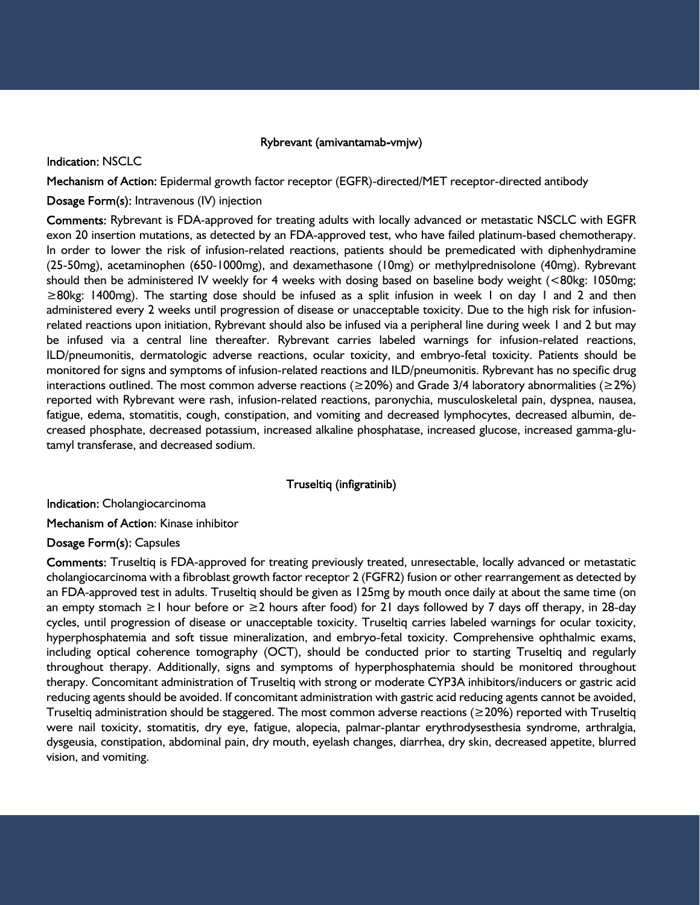#### Rybrevant (amivantamab-vmjw)

#### **Indication: NSCLC**

Mechanism of Action: Epidermal growth factor receptor (EGFR)-directed/MET receptor-directed antibody

#### Dosage Form(s): Intravenous (IV) injection

Comments: Rybrevant is FDA-approved for treating adults with locally advanced or metastatic NSCLC with EGFR exon 20 insertion mutations, as detected by an FDA-approved test, who have failed platinum-based chemotherapy. In order to lower the risk of infusion-related reactions, patients should be premedicated with diphenhydramine (25-50mg), acetaminophen (650-1000mg), and dexamethasone (10mg) or methylprednisolone (40mg). Rybrevant should then be administered IV weekly for 4 weeks with dosing based on baseline body weight (<80kg: 1050mg; ≥80kg: 1400mg). The starting dose should be infused as a split infusion in week 1 on day 1 and 2 and then administered every 2 weeks until progression of disease or unacceptable toxicity. Due to the high risk for infusionrelated reactions upon initiation, Rybrevant should also be infused via a peripheral line during week 1 and 2 but may be infused via a central line thereafter. Rybrevant carries labeled warnings for infusion-related reactions, ILD/pneumonitis, dermatologic adverse reactions, ocular toxicity, and embryo-fetal toxicity. Patients should be monitored for signs and symptoms of infusion-related reactions and ILD/pneumonitis. Rybrevant has no specific drug interactions outlined. The most common adverse reactions ( $\geq$ 20%) and Grade 3/4 laboratory abnormalities ( $\geq$ 2%) reported with Rybrevant were rash, infusion-related reactions, paronychia, musculoskeletal pain, dyspnea, nausea, fatigue, edema, stomatitis, cough, constipation, and vomiting and decreased lymphocytes, decreased albumin, decreased phosphate, decreased potassium, increased alkaline phosphatase, increased glucose, increased gamma-glutamyl transferase, and decreased sodium.

#### Truseltiq (infigratinib)

Indication: Cholangiocarcinoma

Mechanism of Action: Kinase inhibitor

#### Dosage Form(s): Capsules

Comments: Truseltiq is FDA-approved for treating previously treated, unresectable, locally advanced or metastatic cholangiocarcinoma with a fibroblast growth factor receptor 2 (FGFR2) fusion or other rearrangement as detected by an FDA-approved test in adults. Truseltiq should be given as 125mg by mouth once daily at about the same time (on an empty stomach ≥1 hour before or ≥2 hours after food) for 21 days followed by 7 days off therapy, in 28-day cycles, until progression of disease or unacceptable toxicity. Truseltiq carries labeled warnings for ocular toxicity, hyperphosphatemia and soft tissue mineralization, and embryo-fetal toxicity. Comprehensive ophthalmic exams, including optical coherence tomography (OCT), should be conducted prior to starting Truseltiq and regularly throughout therapy. Additionally, signs and symptoms of hyperphosphatemia should be monitored throughout therapy. Concomitant administration of Truseltiq with strong or moderate CYP3A inhibitors/inducers or gastric acid reducing agents should be avoided. If concomitant administration with gastric acid reducing agents cannot be avoided, Truseltiq administration should be staggered. The most common adverse reactions (≥20%) reported with Truseltiq were nail toxicity, stomatitis, dry eye, fatigue, alopecia, palmar-plantar erythrodysesthesia syndrome, arthralgia, dysgeusia, constipation, abdominal pain, dry mouth, eyelash changes, diarrhea, dry skin, decreased appetite, blurred vision, and vomiting.